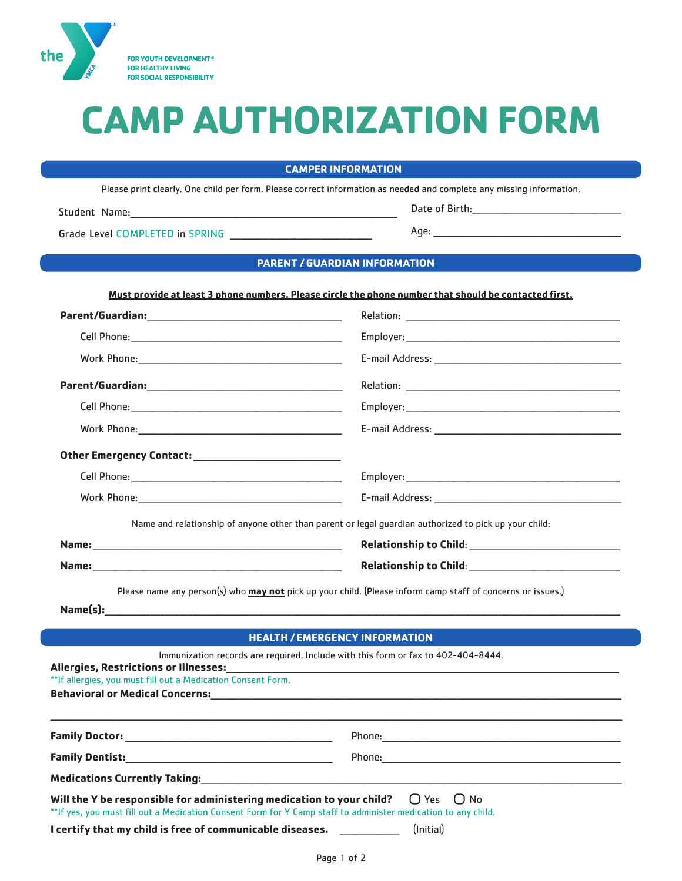

# **CAMP AUTHORIZATION FORM**

### **CAMPER INFORMATION**

Please print clearly. One child per form. Please correct information as needed and complete any missing information.

Student Name:

## **PARENT / GUARDIAN INFORMATION**

#### Must provide at least 3 phone numbers. Please circle the phone number that should be contacted first.

|                                                              | Name and relationship of anyone other than parent or legal guardian authorized to pick up your child:                                                                                                                                |
|--------------------------------------------------------------|--------------------------------------------------------------------------------------------------------------------------------------------------------------------------------------------------------------------------------------|
|                                                              |                                                                                                                                                                                                                                      |
|                                                              | Please name any person(s) who may not pick up your child. (Please inform camp staff of concerns or issues.)                                                                                                                          |
|                                                              | <b>HEALTH / EMERGENCY INFORMATION</b>                                                                                                                                                                                                |
| **If allergies, you must fill out a Medication Consent Form. | Immunization records are required. Include with this form or fax to 402-404-8444.                                                                                                                                                    |
|                                                              |                                                                                                                                                                                                                                      |
|                                                              |                                                                                                                                                                                                                                      |
|                                                              | <u>in the community of the community of the community of the community of the community of the community of the community of the community of the community of the community of the community of the community of the community </u> |

Will the Y be responsible for administering medication to your child?  $\bigcirc$  Yes  $\bigcirc$  No \*\* If yes, you must fill out a Medication Consent Form for Y Camp staff to administer medication to any child.

I certify that my child is free of communicable diseases. \_\_\_\_\_\_\_\_\_

(Initial)

Age: and the contract of the contract of the contract of the contract of the contract of the contract of the contract of the contract of the contract of the contract of the contract of the contract of the contract of the c